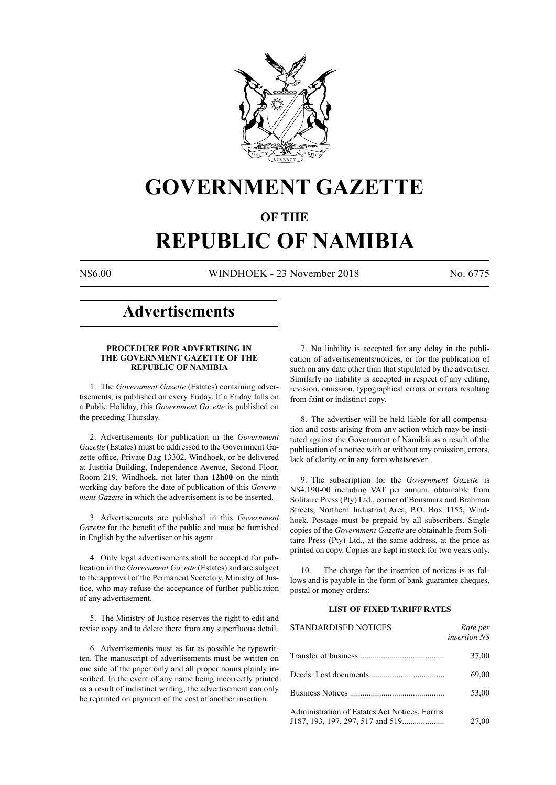

# **GOVERNMENT GAZETTE**

# **OF THE**

# **REPUBLIC OF NAMIBIA**

N\$6.00 WINDHOEK - 23 November 2018 No. 6775

# **Advertisements**

#### **PROCEDURE FOR ADVERTISING IN THE GOVERNMENT GAZETTE OF THE REPUBLIC OF NAMIBIA**

1. The *Government Gazette* (Estates) containing advertisements, is published on every Friday. If a Friday falls on a Public Holiday, this *Government Gazette* is published on the preceding Thursday.

2. Advertisements for publication in the *Government Gazette* (Estates) must be addressed to the Government Gazette office, Private Bag 13302, Windhoek, or be delivered at Justitia Building, Independence Avenue, Second Floor, Room 219, Windhoek, not later than **12h00** on the ninth working day before the date of publication of this *Government Gazette* in which the advertisement is to be inserted.

3. Advertisements are published in this *Government Gazette* for the benefit of the public and must be furnished in English by the advertiser or his agent.

4. Only legal advertisements shall be accepted for publication in the *Government Gazette* (Estates) and are subject to the approval of the Permanent Secretary, Ministry of Justice, who may refuse the acceptance of further publication of any advertisement.

5. The Ministry of Justice reserves the right to edit and revise copy and to delete there from any superfluous detail.

6. Advertisements must as far as possible be typewritten. The manuscript of advertisements must be written on one side of the paper only and all proper nouns plainly inscribed. In the event of any name being incorrectly printed as a result of indistinct writing, the advertisement can only be reprinted on payment of the cost of another insertion.

7. No liability is accepted for any delay in the publication of advertisements/notices, or for the publication of such on any date other than that stipulated by the advertiser. Similarly no liability is accepted in respect of any editing, revision, omission, typographical errors or errors resulting from faint or indistinct copy.

8. The advertiser will be held liable for all compensation and costs arising from any action which may be instituted against the Government of Namibia as a result of the publication of a notice with or without any omission, errors, lack of clarity or in any form whatsoever.

9. The subscription for the *Government Gazette* is N\$4,190-00 including VAT per annum, obtainable from Solitaire Press (Pty) Ltd., corner of Bonsmara and Brahman Streets, Northern Industrial Area, P.O. Box 1155, Windhoek. Postage must be prepaid by all subscribers. Single copies of the *Government Gazette* are obtainable from Solitaire Press (Pty) Ltd., at the same address, at the price as printed on copy. Copies are kept in stock for two years only.

10. The charge for the insertion of notices is as follows and is payable in the form of bank guarantee cheques, postal or money orders:

# **LIST OF FIXED TARIFF RATES**

| <b>STANDARDISED NOTICES</b>                  | Rate per<br>insertion N\$ |
|----------------------------------------------|---------------------------|
|                                              | 37,00                     |
|                                              | 69,00                     |
|                                              | 53,00                     |
| Administration of Estates Act Notices, Forms | 27,00                     |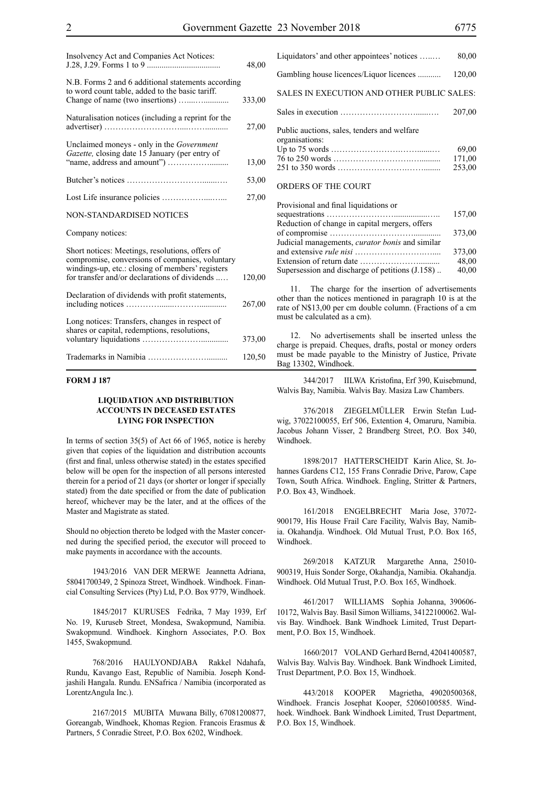| Insolvency Act and Companies Act Notices:                                                                                                                                                               | 48,00  |
|---------------------------------------------------------------------------------------------------------------------------------------------------------------------------------------------------------|--------|
| N.B. Forms 2 and 6 additional statements according<br>to word count table, added to the basic tariff.                                                                                                   | 333,00 |
| Naturalisation notices (including a reprint for the                                                                                                                                                     | 27,00  |
| Unclaimed moneys - only in the Government<br>Gazette, closing date 15 January (per entry of                                                                                                             | 13,00  |
|                                                                                                                                                                                                         | 53,00  |
|                                                                                                                                                                                                         | 27,00  |
| <b>NON-STANDARDISED NOTICES</b>                                                                                                                                                                         |        |
| Company notices:                                                                                                                                                                                        |        |
| Short notices: Meetings, resolutions, offers of<br>compromise, conversions of companies, voluntary<br>windings-up, etc.: closing of members' registers<br>for transfer and/or declarations of dividends | 120,00 |
| Declaration of dividends with profit statements,                                                                                                                                                        | 267,00 |
| Long notices: Transfers, changes in respect of<br>shares or capital, redemptions, resolutions,                                                                                                          | 373,00 |
|                                                                                                                                                                                                         | 120,50 |

#### **FORM J 187**

# **LIQUIDATION AND DISTRIBUTION ACCOUNTS IN DECEASED ESTATES LYING FOR INSPECTION**

In terms of section 35(5) of Act 66 of 1965, notice is hereby given that copies of the liquidation and distribution accounts (first and final, unless otherwise stated) in the estates specified below will be open for the inspection of all persons interested therein for a period of 21 days (or shorter or longer if specially stated) from the date specified or from the date of publication hereof, whichever may be the later, and at the offices of the Master and Magistrate as stated.

Should no objection thereto be lodged with the Master concerned during the specified period, the executor will proceed to make payments in accordance with the accounts.

1943/2016 VAN DER MERWE Jeannetta Adriana, 58041700349, 2 Spinoza Street, Windhoek. Windhoek. Financial Consulting Services (Pty) Ltd, P.O. Box 9779, Windhoek.

1845/2017 KURUSES Fedrika, 7 May 1939, Erf No. 19, Kuruseb Street, Mondesa, Swakopmund, Namibia. Swakopmund. Windhoek. Kinghorn Associates, P.O. Box 1455, Swakopmund.

768/2016 HAULYONDJABA Rakkel Ndahafa, Rundu, Kavango East, Republic of Namibia. Joseph Kondjashili Hangala. Rundu. ENSafrica / Namibia (incorporated as LorentzAngula Inc.).

2167/2015 MUBITA Muwana Billy, 67081200877, Goreangab, Windhoek, Khomas Region. Francois Erasmus & Partners, 5 Conradie Street, P.O. Box 6202, Windhoek.

| Liquidators' and other appointees' notices                    | 80,00                     |
|---------------------------------------------------------------|---------------------------|
| Gambling house licences/Liquor licences                       | 120,00                    |
| SALES IN EXECUTION AND OTHER PUBLIC SALES:                    |                           |
|                                                               | 207,00                    |
| Public auctions, sales, tenders and welfare<br>organisations: | 69,00<br>171,00<br>253,00 |
| ORDERS OF THE COURT                                           |                           |

| Provisional and final liquidations or                  |        |
|--------------------------------------------------------|--------|
|                                                        | 157,00 |
| Reduction of change in capital mergers, offers         |        |
|                                                        | 373,00 |
| Judicial managements, <i>curator bonis</i> and similar |        |
|                                                        | 373,00 |
|                                                        | 48,00  |
| Supersession and discharge of petitions (J.158)        | 40,00  |
|                                                        |        |

11. The charge for the insertion of advertisements other than the notices mentioned in paragraph 10 is at the rate of N\$13,00 per cm double column. (Fractions of a cm must be calculated as a cm).

12. No advertisements shall be inserted unless the charge is prepaid. Cheques, drafts, postal or money orders must be made payable to the Ministry of Justice, Private Bag 13302, Windhoek.

344/2017 IILWA Kristofina, Erf 390, Kuisebmund, Walvis Bay, Namibia. Walvis Bay. Masiza Law Chambers.

376/2018 ZIEGELMÜLLER Erwin Stefan Ludwig, 37022100055, Erf 506, Extention 4, Omaruru, Namibia. Jacobus Johann Visser, 2 Brandberg Street, P.O. Box 340, Windhoek.

1898/2017 HATTERSCHEIDT Karin Alice, St. Johannes Gardens C12, 155 Frans Conradie Drive, Parow, Cape Town, South Africa. Windhoek. Engling, Stritter & Partners, P.O. Box 43, Windhoek.

161/2018 ENGELBRECHT Maria Jose, 37072- 900179, His House Frail Care Facility, Walvis Bay, Namibia. Okahandja. Windhoek. Old Mutual Trust, P.O. Box 165, Windhoek.

269/2018 KATZUR Margarethe Anna, 25010- 900319, Huis Sonder Sorge, Okahandja, Namibia. Okahandja. Windhoek. Old Mutual Trust, P.O. Box 165, Windhoek.

461/2017 WILLIAMS Sophia Johanna, 390606- 10172, Walvis Bay. Basil Simon Williams, 34122100062. Walvis Bay. Windhoek. Bank Windhoek Limited, Trust Department, P.O. Box 15, Windhoek.

1660/2017 VOLAND Gerhard Bernd, 42041400587, Walvis Bay. Walvis Bay. Windhoek. Bank Windhoek Limited, Trust Department, P.O. Box 15, Windhoek.

443/2018 KOOPER Magrietha, 49020500368, Windhoek. Francis Josephat Kooper, 52060100585. Windhoek. Windhoek. Bank Windhoek Limited, Trust Department, P.O. Box 15, Windhoek.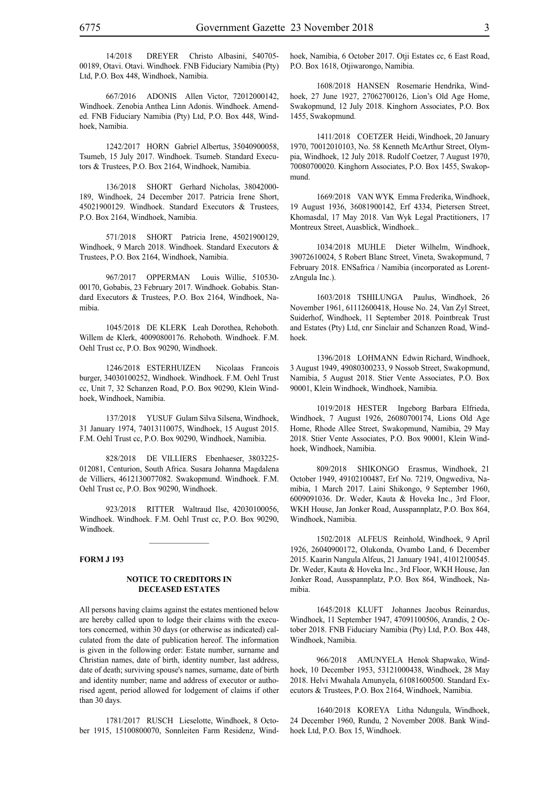14/2018 DREYER Christo Albasini, 540705- 00189, Otavi. Otavi. Windhoek. FNB Fiduciary Namibia (Pty) Ltd, P.O. Box 448, Windhoek, Namibia.

667/2016 ADONIS Allen Victor, 72012000142, Windhoek. Zenobia Anthea Linn Adonis. Windhoek. Amended. FNB Fiduciary Namibia (Pty) Ltd, P.O. Box 448, Windhoek, Namibia.

1242/2017 HORN Gabriel Albertus, 35040900058, Tsumeb, 15 July 2017. Windhoek. Tsumeb. Standard Executors & Trustees, P.O. Box 2164, Windhoek, Namibia.

136/2018 SHORT Gerhard Nicholas, 38042000- 189, Windhoek, 24 December 2017. Patricia Irene Short, 45021900129. Windhoek. Standard Executors & Trustees, P.O. Box 2164, Windhoek, Namibia.

571/2018 SHORT Patricia Irene, 45021900129, Windhoek, 9 March 2018. Windhoek. Standard Executors & Trustees, P.O. Box 2164, Windhoek, Namibia.

967/2017 OPPERMAN Louis Willie, 510530- 00170, Gobabis, 23 February 2017. Windhoek. Gobabis. Standard Executors & Trustees, P.O. Box 2164, Windhoek, Namibia.

1045/2018 DE KLERK Leah Dorothea, Rehoboth. Willem de Klerk, 40090800176. Rehoboth. Windhoek. F.M. Oehl Trust cc, P.O. Box 90290, Windhoek.

1246/2018 ESTERHUIZEN Nicolaas Francois burger, 34030100252, Windhoek. Windhoek. F.M. Oehl Trust cc, Unit 7, 32 Schanzen Road, P.O. Box 90290, Klein Windhoek, Windhoek, Namibia.

137/2018 YUSUF Gulam Silva Silsena, Windhoek, 31 January 1974, 74013110075, Windhoek, 15 August 2015. F.M. Oehl Trust cc, P.O. Box 90290, Windhoek, Namibia.

828/2018 DE VILLIERS Ebenhaeser, 3803225- 012081, Centurion, South Africa. Susara Johanna Magdalena de Villiers, 4612130077082. Swakopmund. Windhoek. F.M. Oehl Trust cc, P.O. Box 90290, Windhoek.

923/2018 RITTER Waltraud Ilse, 42030100056, Windhoek. Windhoek. F.M. Oehl Trust cc, P.O. Box 90290, Windhoek.

 $\frac{1}{2}$ 

#### **FORM J 193**

# **NOTICE TO CREDITORS IN DECEASED ESTATES**

All persons having claims against the estates mentioned below are hereby called upon to lodge their claims with the executors concerned, within 30 days (or otherwise as indicated) calculated from the date of publication hereof. The information is given in the following order: Estate number, surname and Christian names, date of birth, identity number, last address, date of death; surviving spouse's names, surname, date of birth and identity number; name and address of executor or authorised agent, period allowed for lodgement of claims if other than 30 days.

1781/2017 RUSCH Lieselotte, Windhoek, 8 October 1915, 15100800070, Sonnleiten Farm Residenz, Windhoek, Namibia, 6 October 2017. Otji Estates cc, 6 East Road, P.O. Box 1618, Otjiwarongo, Namibia.

1608/2018 HANSEN Rosemarie Hendrika, Windhoek, 27 June 1927, 27062700126, Lion's Old Age Home, Swakopmund, 12 July 2018. Kinghorn Associates, P.O. Box 1455, Swakopmund.

1411/2018 COETZER Heidi, Windhoek, 20 January 1970, 70012010103, No. 58 Kenneth McArthur Street, Olympia, Windhoek, 12 July 2018. Rudolf Coetzer, 7 August 1970, 70080700020. Kinghorn Associates, P.O. Box 1455, Swakopmund.

1669/2018 VAN WYK Emma Frederika, Windhoek, 19 August 1936, 36081900142, Erf 4334, Pietersen Street, Khomasdal, 17 May 2018. Van Wyk Legal Practitioners, 17 Montreux Street, Auasblick, Windhoek..

1034/2018 MUHLE Dieter Wilhelm, Windhoek, 39072610024, 5 Robert Blanc Street, Vineta, Swakopmund, 7 February 2018. ENSafrica / Namibia (incorporated as LorentzAngula Inc.).

1603/2018 TSHILUNGA Paulus, Windhoek, 26 November 1961, 61112600418, House No. 24, Van Zyl Street, Suiderhof, Windhoek, 11 September 2018. Pointbreak Trust and Estates (Pty) Ltd, cnr Sinclair and Schanzen Road, Windhoek.

1396/2018 LOHMANN Edwin Richard, Windhoek, 3 August 1949, 49080300233, 9 Nossob Street, Swakopmund, Namibia, 5 August 2018. Stier Vente Associates, P.O. Box 90001, Klein Windhoek, Windhoek, Namibia.

1019/2018 HESTER Ingeborg Barbara Elfrieda, Windhoek, 7 August 1926, 26080700174, Lions Old Age Home, Rhode Allee Street, Swakopmund, Namibia, 29 May 2018. Stier Vente Associates, P.O. Box 90001, Klein Windhoek, Windhoek, Namibia.

809/2018 SHIKONGO Erasmus, Windhoek, 21 October 1949, 49102100487, Erf No. 7219, Ongwediva, Namibia, 1 March 2017. Laini Shikongo, 9 September 1960, 6009091036. Dr. Weder, Kauta & Hoveka Inc., 3rd Floor, WKH House, Jan Jonker Road, Ausspannplatz, P.O. Box 864, Windhoek, Namibia.

1502/2018 ALFEUS Reinhold, Windhoek, 9 April 1926, 26040900172, Olukonda, Ovambo Land, 6 December 2015. Kaarin Nangula Alfeus, 21 January 1941, 41012100545. Dr. Weder, Kauta & Hoveka Inc., 3rd Floor, WKH House, Jan Jonker Road, Ausspannplatz, P.O. Box 864, Windhoek, Namibia.

1645/2018 KLUFT Johannes Jacobus Reinardus, Windhoek, 11 September 1947, 47091100506, Arandis, 2 October 2018. FNB Fiduciary Namibia (Pty) Ltd, P.O. Box 448, Windhoek, Namibia.

966/2018 AMUNYELA Henok Shapwako, Windhoek, 10 December 1953, 53121000438, Windhoek, 28 May 2018. Helvi Mwahala Amunyela, 61081600500. Standard Executors & Trustees, P.O. Box 2164, Windhoek, Namibia.

1640/2018 KOREYA Litha Ndungula, Windhoek, 24 December 1960, Rundu, 2 November 2008. Bank Windhoek Ltd, P.O. Box 15, Windhoek.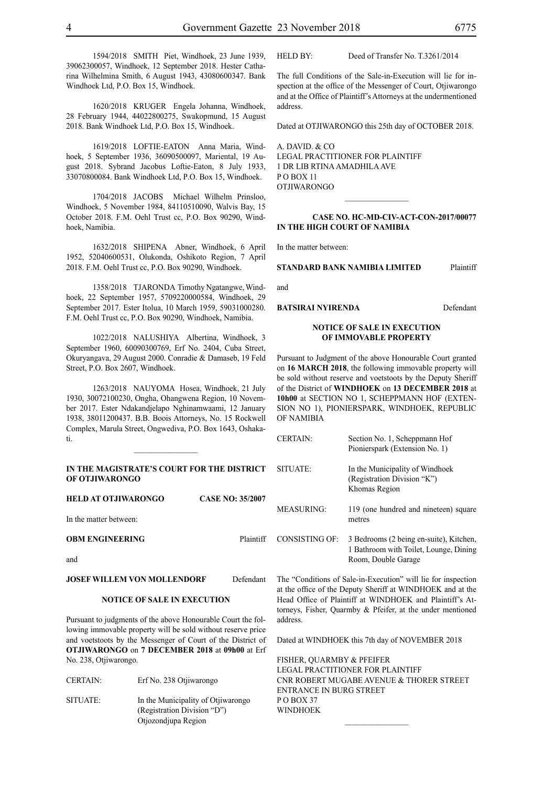1594/2018 SMITH Piet, Windhoek, 23 June 1939, 39062300057, Windhoek, 12 September 2018. Hester Catharina Wilhelmina Smith, 6 August 1943, 43080600347. Bank Windhoek Ltd, P.O. Box 15, Windhoek.

1620/2018 KRUGER Engela Johanna, Windhoek, 28 February 1944, 44022800275, Swakopmund, 15 August 2018. Bank Windhoek Ltd, P.O. Box 15, Windhoek.

1619/2018 LOFTIE-EATON Anna Maria, Windhoek, 5 September 1936, 36090500097, Mariental, 19 August 2018. Sybrand Jacobus Loftie-Eaton, 8 July 1933, 33070800084. Bank Windhoek Ltd, P.O. Box 15, Windhoek.

1704/2018 JACOBS Michael Wilhelm Prinsloo, Windhoek, 5 November 1984, 84110510090, Walvis Bay, 15 October 2018. F.M. Oehl Trust cc, P.O. Box 90290, Windhoek, Namibia.

1632/2018 SHIPENA Abner, Windhoek, 6 April 1952, 52040600531, Olukonda, Oshikoto Region, 7 April 2018. F.M. Oehl Trust cc, P.O. Box 90290, Windhoek.

1358/2018 TJARONDA Timothy Ngatangwe, Windhoek, 22 September 1957, 5709220000584, Windhoek, 29 September 2017. Ester Itolua, 10 March 1959, 59031000280. F.M. Oehl Trust cc, P.O. Box 90290, Windhoek, Namibia.

1022/2018 NALUSHIYA Albertina, Windhoek, 3 September 1960, 60090300769, Erf No. 2404, Cuba Street, Okuryangava, 29 August 2000. Conradie & Damaseb, 19 Feld Street, P.O. Box 2607, Windhoek.

1263/2018 NAUYOMA Hosea, Windhoek, 21 July 1930, 30072100230, Ongha, Ohangwena Region, 10 November 2017. Ester Ndakandjelapo Nghinamwaami, 12 January 1938, 38011200437. B.B. Boois Attorneys, No. 15 Rockwell Complex, Marula Street, Ongwediva, P.O. Box 1643, Oshakati.

#### **IN THE MAGISTRATE'S COURT FOR THE DISTRICT OF OTJIWARONGO**

 $\frac{1}{2}$ 

| <b>HELD AT OTJIWARONGO</b> | <b>CASE NO: 35/2007</b> |
|----------------------------|-------------------------|
| In the matter between:     |                         |
| <b>OBM ENGINEERING</b>     | Plaintiff               |
| and                        |                         |

# **JOSEF WILLEM VON MOLLENDORF** Defendant

# **NOTICE OF SALE IN EXECUTION**

Pursuant to judgments of the above Honourable Court the following immovable property will be sold without reserve price and voetstoots by the Messenger of Court of the District of **OTJIWARONGO** on **7 DECEMBER 2018** at **09h00** at Erf No. 238, Otjiwarongo.

| <b>CERTAIN:</b> | Erf No. 238 Otiiwarongo                                                                  |
|-----------------|------------------------------------------------------------------------------------------|
| SITUATE:        | In the Municipality of Otjiwarongo<br>(Registration Division "D")<br>Otjozondjupa Region |

# HELD BY: Deed of Transfer No. T.3261/2014

The full Conditions of the Sale-in-Execution will lie for inspection at the office of the Messenger of Court, Otjiwarongo and at the Office of Plaintiff's Attorneys at the undermentioned address.

Dated at OTJIWARONGO this 25th day of OCTOBER 2018.

A. DAVID. & CO LEGAL PRACTITIONER FOR Plaintiff 1 DR LIB RTINA AMADHILA AVE P O BOX 11 OTJIWARONGO

#### **CASE No. HC-MD-CIV-ACT-CON-2017/00077 IN THE HIGH COURT OF NAMIBIA**

In the matter between:

#### **STANDARD BANK NAMIBIA LIMITED** Plaintiff

and

**BATSIRAI NYIRENDA** Defendant

#### **NOTICE OF SALE IN EXECUTION OF IMMOVABLE PROPERTY**

Pursuant to Judgment of the above Honourable Court granted on **16 MARCH 2018**, the following immovable property will be sold without reserve and voetstoots by the Deputy Sheriff of the District of **WINDHOEK** on **13 DECEMBER 2018** at **10h00** at SECTION NO 1, SCHEPPMANN HOF (EXTEN-SION NO 1), PIONIERSPARK, WINDHOEK, REPUBLIC OF NAMIBIA

| CERTAIN       | Section No. 1, Scheppmann Hof<br>Pionierspark (Extension No. 1)                                          |
|---------------|----------------------------------------------------------------------------------------------------------|
| SITUATE:      | In the Municipality of Windhoek<br>(Registration Division "K")<br>Khomas Region                          |
| MEASURING:    | 119 (one hundred and nineteen) square<br>metres                                                          |
| CONSISTING OF | 3 Bedrooms (2 being en-suite), Kitchen,<br>1 Bathroom with Toilet, Lounge, Dining<br>Room, Double Garage |

The "Conditions of Sale-in-Execution" will lie for inspection at the office of the Deputy Sheriff at WINDHOEK and at the Head Office of Plaintiff at WINDHOEK and Plaintiff's Attorneys, Fisher, Quarmby & Pfeifer, at the under mentioned address.

Dated at WINDHOEK this 7th day of NOVEMBER 2018

FISHER, QUARMBY & PFEIFER LEGAL PRACTITIONER FOR Plaintiff Cnr Robert Mugabe Avenue & Thorer Street Entrance in Burg Street PO BOX 37 **WINDHOEK**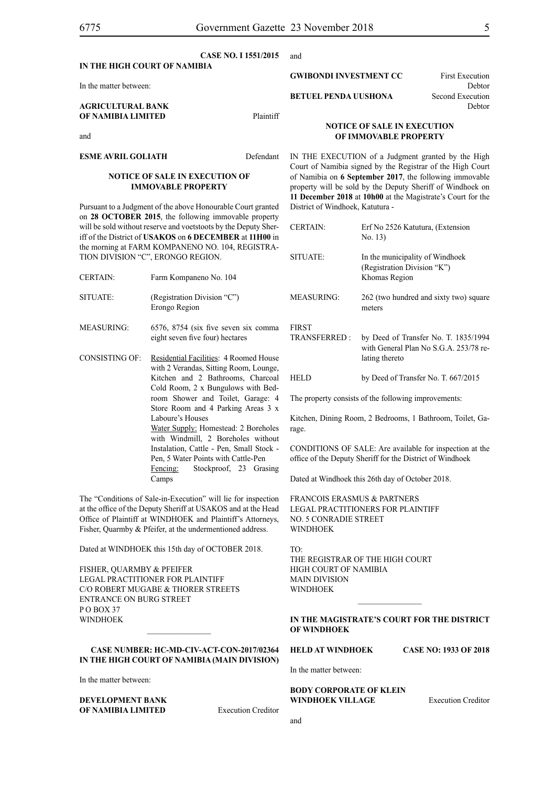and

|                                                | <u>CASE INZ. EL.DIZUL.</u> | <b>auu</b>                         |                                  |
|------------------------------------------------|----------------------------|------------------------------------|----------------------------------|
| IN THE HIGH COURT OF NAMIBIA                   |                            |                                    |                                  |
| In the matter between:                         |                            | <b>GWIBONDI INVESTMENT CC</b>      | <b>First Execution</b><br>Debtor |
|                                                |                            | <b>BETUEL PENDA UUSHONA</b>        | Second Execution                 |
| <b>AGRICULTURAL BANK</b><br>OF NAMIBIA LIMITED | Plaintiff                  |                                    | Debtor                           |
|                                                |                            | <b>NOTICE OF SALE IN EXECUTION</b> |                                  |
| and                                            |                            | OF IMMOVABLE PROPERTY              |                                  |
| <b>ECME AUDIL CALLATH</b>                      |                            |                                    |                                  |

IN THE EXECUTION of a Judgment granted by the High Court of Namibia signed by the Registrar of the High Court of Namibia on **6 September 2017**, the following immovable property will be sold by the Deputy Sheriff of Windhoek on **11 December 2018** at **10h00** at the Magistrate's Court for the District of Windhoek, Katutura -

| L<br>n                   | <b>CERTAIN:</b>                                      | Erf No 2526 Katutura, (Extension<br>No. 13)                                                                          |
|--------------------------|------------------------------------------------------|----------------------------------------------------------------------------------------------------------------------|
| ÷.                       | SITUATE:                                             | In the municipality of Windhoek<br>(Registration Division "K")<br>Khomas Region                                      |
|                          | <b>MEASURING:</b>                                    | 262 (two hundred and sixty two) square<br>meters                                                                     |
| a                        | <b>FIRST</b>                                         |                                                                                                                      |
| e                        | <b>TRANSFERRED:</b>                                  | by Deed of Transfer No. T. 1835/1994<br>with General Plan No S.G.A. 253/78 re-<br>lating thereto                     |
| ,<br>ւ1<br>ļ-            | <b>HELD</b>                                          | by Deed of Transfer No. T. 667/2015                                                                                  |
| 4<br>X                   | The property consists of the following improvements: |                                                                                                                      |
|                          |                                                      | Kitchen, Dining Room, 2 Bedrooms, 1 Bathroom, Toilet, Ga-                                                            |
| S<br>ıt                  | rage.                                                |                                                                                                                      |
| $\overline{\phantom{a}}$ |                                                      | CONDITIONS OF SALE: Are available for inspection at the<br>office of the Deputy Sheriff for the District of Windhoek |

Dated at Windhoek this 26th day of October 2018.

FRANCOIS ERASMUS & PARTNERS Legal Practitioners for Plaintiff No. 5 Conradie Street **WINDHOEK** 

TO: THE REGISTRAR OF THE HIGH COURT High Court of Namibia Main division **WINDHOEK** 

**IN THE MAGISTRATE'S COURT FOR THE DISTRICT OF WINDHOEK**

 $\frac{1}{2}$ 

# **HELD AT WINDHOEK CASE NO: 1933 OF 2018**

In the matter between:

**BODY CORPORATE OF KLEIN WINDHOEK VILLAGE** Execution Creditor

and

**ESME AVRIL GOLIATH** Defendant

#### **NOTICE OF SALE IN EXECUTION OF IMMOVABLE PROPERTY**

Pursuant to a Judgment of the above Honourable Court granted on **28 OCTOBER 2015**, the following immovable property will be sold without reserve and voetstoots by the Deputy Sheriff of the District of **USAKOS** on **6 DECEMBER** at **11H00** in the morning at FARM KOMPANENO NO. 104, REGISTRA-TION DIVISION "C", ERONGO REGION.

- CERTAIN: Farm Kompaneno No. 104 SITUATE: (Registration Division "C") Erongo Region
- MEASURING: 6576, 8754 (six five seven six comma eight seven five four) hectares
- CONSISTING OF: Residential Facilities: 4 Roomed House with 2 Verandas, Sitting Room, Lounge, Kitchen and 2 Bathrooms, Charcoa Cold Room, 2 x Bungulows with Bedroom Shower and Toilet, Garage: 4 Store Room and 4 Parking Areas 3 Laboure's Houses Water Supply: Homestead: 2 Borehole with Windmill, 2 Boreholes without Instalation, Cattle - Pen, Small Stock - Pen, 5 Water Points with Cattle-Pen Fencing: Stockproof, 23 Grasing Camps

The "Conditions of Sale-in-Execution" will lie for inspection at the office of the Deputy Sheriff at USAKOS and at the Head Office of Plaintiff at WINDHOEK and Plaintiff's Attorneys, Fisher, Quarmby & Pfeifer, at the undermentioned address.

Dated at WINDHOEK this 15th day of OCTOBER 2018.

FISHER, QUARMBY & PFEIFER LEGAL PRACTITIONER FOR Plaintiff c/o Robert Mugabe & Thorer Streets entrance on Burg Street P O BOX 37 **WINDHOFK** 

# **Case Number: HC-MD-CIV-ACT-CON-2017/02364 IN THE HIGH COURT OF NAMIBIA (Main Division)**

 $\mathcal{L}=\mathcal{L}^{\mathcal{L}}$ 

In the matter between:

**DEVELOPMENT BANK OF NAMIBIA LIMITED** Execution Creditor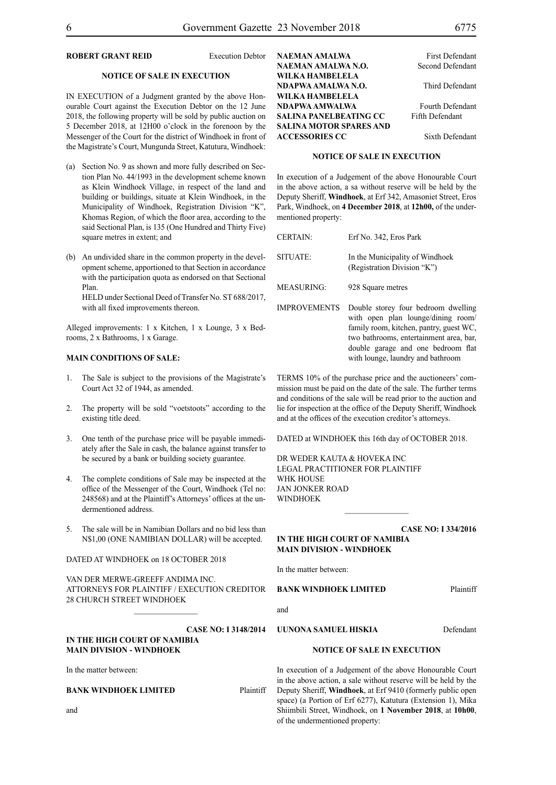# **ROBERT GRANT REID** Execution Debtor

#### **NOTICE OF SALE IN EXECUTION**

IN EXECUTION of a Judgment granted by the above Honourable Court against the Execution Debtor on the 12 June 2018, the following property will be sold by public auction on 5 December 2018, at 12H00 o'clock in the forenoon by the Messenger of the Court for the district of Windhoek in front of the Magistrate's Court, Mungunda Street, Katutura, Windhoek:

- (a) Section No. 9 as shown and more fully described on Section Plan No. 44/1993 in the development scheme known as Klein Windhoek Village, in respect of the land and building or buildings, situate at Klein Windhoek, in the Municipality of Windhoek, Registration Division "K", Khomas Region, of which the floor area, according to the said Sectional Plan, is 135 (One Hundred and Thirty Five) square metres in extent; and
- (b) An undivided share in the common property in the development scheme, apportioned to that Section in accordance with the participation quota as endorsed on that Sectional Plan.

HELD under Sectional Deed of Transfer No. ST 688/2017, with all fixed improvements thereon.

Alleged improvements: 1 x Kitchen, 1 x Lounge, 3 x Bedrooms, 2 x Bathrooms, 1 x Garage.

# **MAIN CONDITIONS OF SALE:**

- 1. The Sale is subject to the provisions of the Magistrate's Court Act 32 of 1944, as amended.
- 2. The property will be sold "voetstoots" according to the existing title deed.
- 3. One tenth of the purchase price will be payable immediately after the Sale in cash, the balance against transfer to be secured by a bank or building society guarantee.
- The complete conditions of Sale may be inspected at the office of the Messenger of the Court, Windhoek (Tel no: 248568) and at the Plaintiff's Attorneys' offices at the undermentioned address.
- 5. The sale will be in Namibian Dollars and no bid less than N\$1,00 (ONE NAMIBIAN DOLLAR) will be accepted.

#### DATED AT WINDHOEK on 18 OCTOBER 2018

VAN DER MERWE-GREEFF ANDIMA INC. ATTORNEYS FOR Plaintiff / EXECUTION CREDITOR 28 CHURCH STREET WINDHOEK

 $\mathcal{L}_\text{max}$ 

#### **CASE NO: I 3148/2014 IN THE HIGH COURT OF NAMIBIA MAIN DIVISION - WINDHOEK**

In the matter between:

#### **BANK WINDHOEK LIMITED** Plaintiff

and

| NAEMAN AMALWA                  | <b>First Defendant</b>  |
|--------------------------------|-------------------------|
| NAEMAN AMALWA N.O.             | Second Defendant        |
| WILKA HAMBELELA                |                         |
| NDAPWA AMALWA N.O.             | Third Defendant         |
| WILKA HAMBELELA                |                         |
| NDAPWA AMWALWA                 | <b>Fourth Defendant</b> |
| <b>SALINA PANELBEATING CC</b>  | Fifth Defendant         |
| <b>SALINA MOTOR SPARES AND</b> |                         |
| <b>ACCESSORIES CC</b>          | Sixth Defendant         |

#### **NOTICE OF SALE IN EXECUTION**

In execution of a Judgement of the above Honourable Court in the above action, a sa without reserve will be held by the Deputy Sheriff, **Windhoek**, at Erf 342, Amasoniet Street, Eros Park, Windhoek, on **4 December 2018**, at **12h00,** of the undermentioned property:

| <b>CERTAIN:</b>     | Erf No. 342, Eros Park                                                                                                                                                                                |
|---------------------|-------------------------------------------------------------------------------------------------------------------------------------------------------------------------------------------------------|
| SITUATE:            | In the Municipality of Windhoek<br>(Registration Division "K")                                                                                                                                        |
| <b>MEASURING:</b>   | 928 Square metres                                                                                                                                                                                     |
| <b>IMPROVEMENTS</b> | Double storey four bedroom dwelling<br>with open plan lounge/dining room/<br>family room, kitchen, pantry, guest WC,<br>two bathrooms, entertainment area, bar,<br>double garage and one bedroom flat |

TERMS 10% of the purchase price and the auctioneers' commission must be paid on the date of the sale. The further terms and conditions of the sale will be read prior to the auction and lie for inspection at the office of the Deputy Sheriff, Windhoek and at the offices of the execution creditor's attorneys.

with lounge, laundry and bathroom

DATED at WINDHOEK this 16th day of OCTOBER 2018.

DR WEDER KAUTA & HOVEKA INC Legal Practitioner for Plaintiff WHK HOUSE Jan Jonker Road WINDHOEK

**CASE NO: I 334/2016 IN THE HIGH COURT OF NAMIBIA MAIN DIVISION - WINDHOEK**

 $\frac{1}{2}$ 

In the matter between:

**BANK WINDHOEK LIMITED** Plaintiff

and

**UUNONA SAMUEL HISKIA** Defendant

#### **NOTICE OF SALE IN EXECUTION**

In execution of a Judgement of the above Honourable Court in the above action, a sale without reserve will be held by the Deputy Sheriff, **Windhoek**, at Erf 9410 (formerly public open space) (a Portion of Erf 6277), Katutura (Extension 1), Mika Shiimbili Street, Windhoek, on **1 November 2018**, at **10h00**, of the undermentioned property: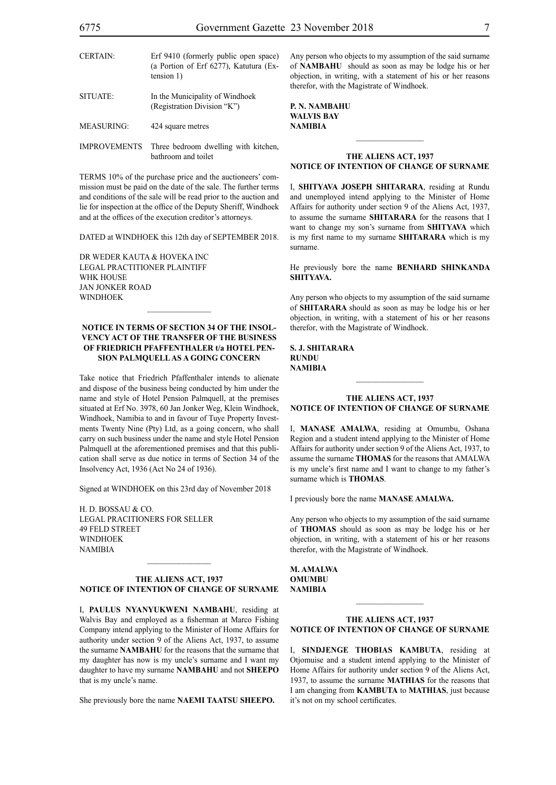| <b>CERTAIN:</b>     | Erf 9410 (formerly public open space)<br>(a Portion of Erf 6277), Katutura (Ex-<br>tension 1) |
|---------------------|-----------------------------------------------------------------------------------------------|
| SITUATE:            | In the Municipality of Windhoek<br>(Registration Division "K")                                |
| MEASURING:          | 424 square metres                                                                             |
| <b>IMPROVEMENTS</b> | Three bedroom dwelling with kitchen,<br>bathroom and toilet                                   |

TERMS 10% of the purchase price and the auctioneers' commission must be paid on the date of the sale. The further terms and conditions of the sale will be read prior to the auction and lie for inspection at the office of the Deputy Sheriff, Windhoek and at the offices of the execution creditor's attorneys.

DATED at WINDHOEK this 12th day of SEPTEMBER 2018.

DR WEDER KAUTA & HOVEKA INC Legal Practitioner Plaintiff WHK HOUSE Jan Jonker Road WINDHOEK

# **NOTICE IN TERMS OF SECTION 34 OF THE INSOL-VENCY ACT OF THE TRANSFER OF THE BUSINESS OF FRIEDRICH PFAFFENTHALER t/a HOTEL PEN-SION PALMQUELL AS A GOING CONCERN**

 $\mathcal{L}=\mathcal{L}^{\mathcal{L}}$ 

Take notice that Friedrich Pfaffenthaler intends to alienate and dispose of the business being conducted by him under the name and style of Hotel Pension Palmquell, at the premises situated at Erf No. 3978, 60 Jan Jonker Weg, Klein Windhoek, Windhoek, Namibia to and in favour of Tuye Property Investments Twenty Nine (Pty) Ltd, as a going concern, who shall carry on such business under the name and style Hotel Pension Palmquell at the aforementioned premises and that this publication shall serve as due notice in terms of Section 34 of the Insolvency Act, 1936 (Act No 24 of 1936).

Signed at WINDHOEK on this 23rd day of November 2018

H. D. BOSSAU & CO. LEGAL PRACITIONERS FOR SELLER 49 FELD STREET **WINDHOEK** NAMIBIA

#### **THE ALIENS ACT, 1937 NOTICE OF INTENTION OF CHANGE OF SURNAME**

 $\mathcal{L}_\text{max}$ 

I, **paulus nyanyukweni nambahu**, residing at Walvis Bay and employed as a fisherman at Marco Fishing Company intend applying to the Minister of Home Affairs for authority under section 9 of the Aliens Act, 1937, to assume the surname **NAMBAHU** for the reasons that the surname that my daughter has now is my uncle's surname and I want my daughter to have my surname **NAMBAHU** and not **SHEEPO**  that is my uncle's name.

She previously bore the name **NAEMI TAATSU SHEEPO.** 

Any person who objects to my assumption of the said surname of **NAMBAHU** should as soon as may be lodge his or her objection, in writing, with a statement of his or her reasons therefor, with the Magistrate of Windhoek.

**p. n. nambahu walvis bay NAMIBIA**

#### **THE ALIENS ACT, 1937 NOTICE OF INTENTION OF CHANGE OF SURNAME**

 $\frac{1}{2}$ 

I, **shityava joseph shitarara**, residing at Rundu and unemployed intend applying to the Minister of Home Affairs for authority under section 9 of the Aliens Act, 1937, to assume the surname **SHITARARA** for the reasons that I want to change my son's surname from **SHITYAVA** which is my first name to my surname **SHITARARA** which is my surname.

He previously bore the name **BENHARD SHINKANDA SHITYAVA.**

Any person who objects to my assumption of the said surname of **shitarara** should as soon as may be lodge his or her objection, in writing, with a statement of his or her reasons therefor, with the Magistrate of Windhoek.

**s. j. shitarara rundu NAMIBIA**

#### **THE ALIENS ACT, 1937 NOTICE OF INTENTION OF CHANGE OF SURNAME**

 $\frac{1}{2}$ 

I, **MANASE AMALWA**, residing at Omumbu, Oshana Region and a student intend applying to the Minister of Home Affairs for authority under section 9 of the Aliens Act, 1937, to assume the surname **thomas** for the reasons that AMALWA is my uncle's first name and I want to change to my father's surname which is **THOMAS**.

I previously bore the name **MANASE AMALWA.**

Any person who objects to my assumption of the said surname of **THOMAS** should as soon as may be lodge his or her objection, in writing, with a statement of his or her reasons therefor, with the Magistrate of Windhoek.

**M. AMALWA OMUMBII NAMIBIA**

# **THE ALIENS ACT, 1937 NOTICE OF INTENTION OF CHANGE OF SURNAME**

 $\frac{1}{2}$ 

I, **SINDJENGE THOBIAS KAMBUTA**, residing at Otjomuise and a student intend applying to the Minister of Home Affairs for authority under section 9 of the Aliens Act, 1937, to assume the surname **mathias** for the reasons that I am changing from **KAMBUTA** to **MATHIAS**, just because it's not on my school certificates.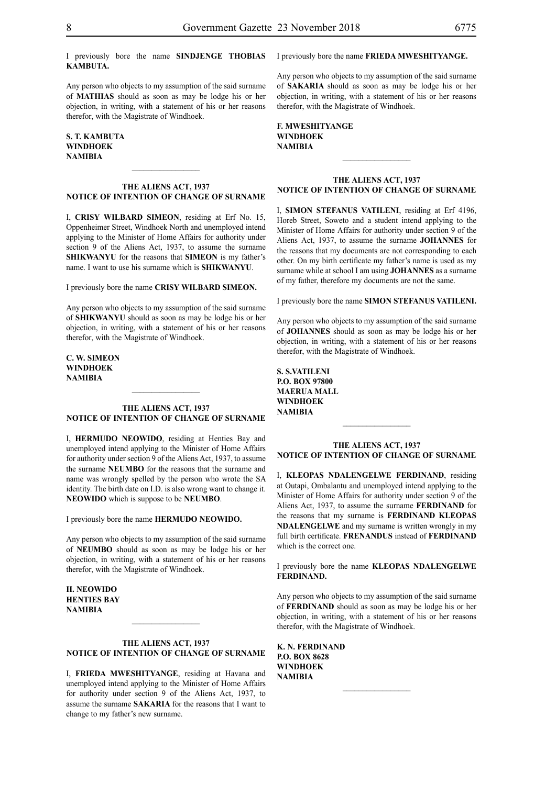I previously bore the name **SINDJENGE THOBIAS KAMBUTA.**

Any person who objects to my assumption of the said surname of **mathias** should as soon as may be lodge his or her objection, in writing, with a statement of his or her reasons therefor, with the Magistrate of Windhoek.

# **S. T. KAMBUTA windhoek NAMIBIA**

### **THE ALIENS ACT, 1937 NOTICE OF INTENTION OF CHANGE OF SURNAME**

 $\frac{1}{2}$ 

I, **crisy wilbard simeon**, residing at Erf No. 15, Oppenheimer Street, Windhoek North and unemployed intend applying to the Minister of Home Affairs for authority under section 9 of the Aliens Act, 1937, to assume the surname **shikwanyu** for the reasons that **SIMEON** is my father's name. I want to use his surname which is **SHIKWANYU**.

I previously bore the name **crisy wilbard simeon.**

Any person who objects to my assumption of the said surname of **shikwanyu** should as soon as may be lodge his or her objection, in writing, with a statement of his or her reasons therefor, with the Magistrate of Windhoek.

**c. w. simeon windhoek NAMIBIA**

#### **THE ALIENS ACT, 1937 NOTICE OF INTENTION OF CHANGE OF SURNAME**

 $\frac{1}{2}$ 

I, **HERMUDO NEOWIDO**, residing at Henties Bay and unemployed intend applying to the Minister of Home Affairs for authority under section 9 of the Aliens Act, 1937, to assume the surname **NEUMBO** for the reasons that the surname and name was wrongly spelled by the person who wrote the SA identity. The birth date on I.D. is also wrong want to change it. **NEOWIDO** which is suppose to be **NEUMBO**.

I previously bore the name **HERMUDO NEOWIDO.** 

Any person who objects to my assumption of the said surname of **NEUMBO** should as soon as may be lodge his or her objection, in writing, with a statement of his or her reasons therefor, with the Magistrate of Windhoek.

**h. neOwido henties bay NAMIBIA**

# **THE ALIENS ACT, 1937 NOTICE OF INTENTION OF CHANGE OF SURNAME**

I, **frieda mweshityange**, residing at Havana and unemployed intend applying to the Minister of Home Affairs for authority under section 9 of the Aliens Act, 1937, to assume the surname **SAKARIA** for the reasons that I want to change to my father's new surname.

I previously bore the name **frieda mweshityange.**

Any person who objects to my assumption of the said surname of **sakaria** should as soon as may be lodge his or her objection, in writing, with a statement of his or her reasons therefor, with the Magistrate of Windhoek.

# **f. mweshityange windhoek NAMIBIA**

# **THE ALIENS ACT, 1937 NOTICE OF INTENTION OF CHANGE OF SURNAME**

 $\frac{1}{2}$ 

I, **simon stefanus vatileni**, residing at Erf 4196, Horeb Street, Soweto and a student intend applying to the Minister of Home Affairs for authority under section 9 of the Aliens Act, 1937, to assume the surname **johannes** for the reasons that my documents are not corresponding to each other. On my birth certificate my father's name is used as my surname while at school I am using **JOHANNES** as a surname of my father, therefore my documents are not the same.

I previously bore the name **simon stefanus vatileni.**

Any person who objects to my assumption of the said surname of **JOHANNES** should as soon as may be lodge his or her objection, in writing, with a statement of his or her reasons therefor, with the Magistrate of Windhoek.

**s. s.vatileni p.o. box 97800 maerua mall windhoek NAMIBIA**

#### **THE ALIENS ACT, 1937 NOTICE OF INTENTION OF CHANGE OF SURNAME**

 $\frac{1}{2}$ 

I, **kleopas ndalengelwe ferdinand**, residing at Outapi, Ombalantu and unemployed intend applying to the Minister of Home Affairs for authority under section 9 of the Aliens Act, 1937, to assume the surname **FERDINAND** for the reasons that my surname is **FERDINAND KLEOPAS NDALENGELWE** and my surname is written wrongly in my full birth certificate. **FRENANDUS** instead of **FERDINAND** which is the correct one.

I previously bore the name **KLEOPAS NDALENGELWE ferdinand.**

Any person who objects to my assumption of the said surname of **FERDINAND** should as soon as may be lodge his or her objection, in writing, with a statement of his or her reasons therefor, with the Magistrate of Windhoek.

**k. n. ferdinand P.O. BOX 8628 windhoek NAMIBIA**